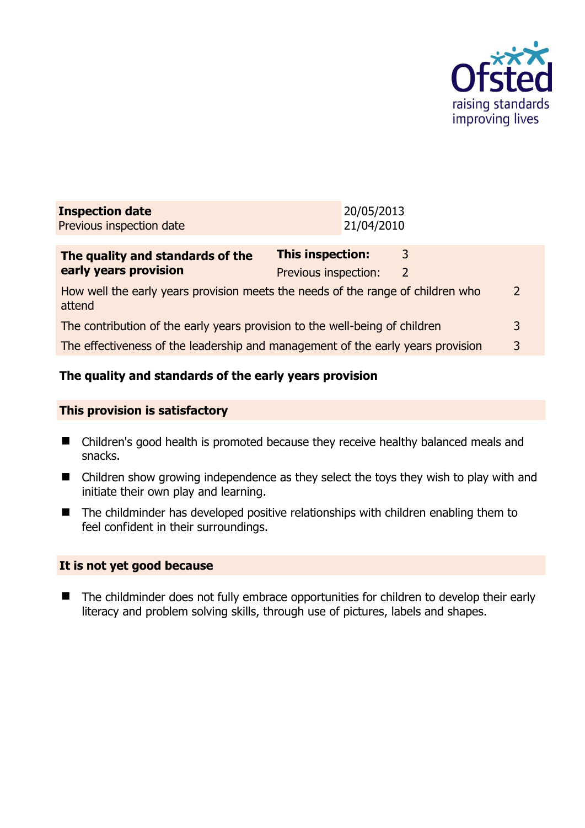

| <b>Inspection date</b><br>Previous inspection date                                             |                                                 | 20/05/2013<br>21/04/2010 |                    |   |
|------------------------------------------------------------------------------------------------|-------------------------------------------------|--------------------------|--------------------|---|
| The quality and standards of the<br>early years provision                                      | <b>This inspection:</b><br>Previous inspection: |                          | 3<br>$\mathcal{L}$ |   |
| How well the early years provision meets the needs of the range of children who<br>2<br>attend |                                                 |                          |                    |   |
| The contribution of the early years provision to the well-being of children                    |                                                 |                          | 3                  |   |
| The effectiveness of the leadership and management of the early years provision                |                                                 |                          |                    | 3 |
|                                                                                                |                                                 |                          |                    |   |

## **The quality and standards of the early years provision**

#### **This provision is satisfactory**

- Children's good health is promoted because they receive healthy balanced meals and snacks.
- Children show growing independence as they select the toys they wish to play with and initiate their own play and learning.
- The childminder has developed positive relationships with children enabling them to feel confident in their surroundings.

#### **It is not yet good because**

■ The childminder does not fully embrace opportunities for children to develop their early literacy and problem solving skills, through use of pictures, labels and shapes.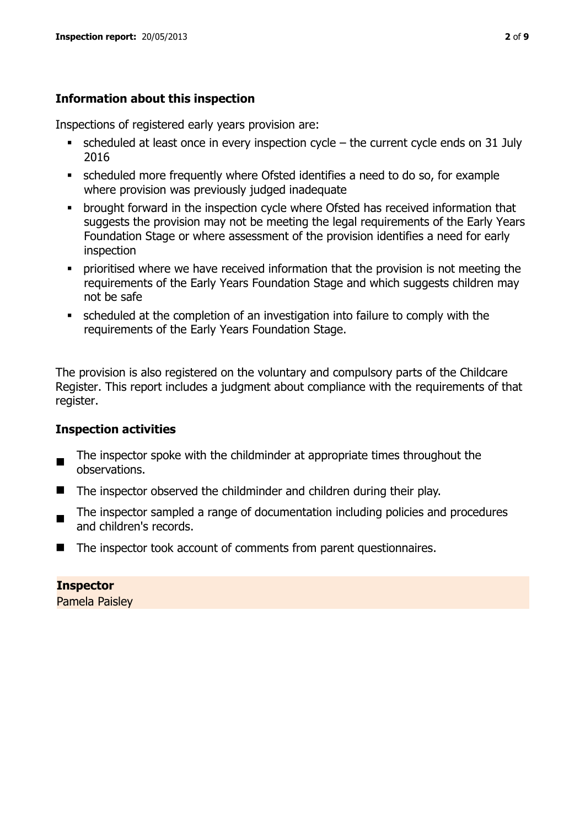## **Information about this inspection**

Inspections of registered early years provision are:

- $\bullet$  scheduled at least once in every inspection cycle the current cycle ends on 31 July 2016
- scheduled more frequently where Ofsted identifies a need to do so, for example where provision was previously judged inadequate
- **•** brought forward in the inspection cycle where Ofsted has received information that suggests the provision may not be meeting the legal requirements of the Early Years Foundation Stage or where assessment of the provision identifies a need for early inspection
- **•** prioritised where we have received information that the provision is not meeting the requirements of the Early Years Foundation Stage and which suggests children may not be safe
- scheduled at the completion of an investigation into failure to comply with the requirements of the Early Years Foundation Stage.

The provision is also registered on the voluntary and compulsory parts of the Childcare Register. This report includes a judgment about compliance with the requirements of that register.

## **Inspection activities**

- $\blacksquare$ The inspector spoke with the childminder at appropriate times throughout the observations.
- The inspector observed the childminder and children during their play.
- The inspector sampled a range of documentation including policies and procedures and children's records.
- The inspector took account of comments from parent questionnaires.

**Inspector**  Pamela Paisley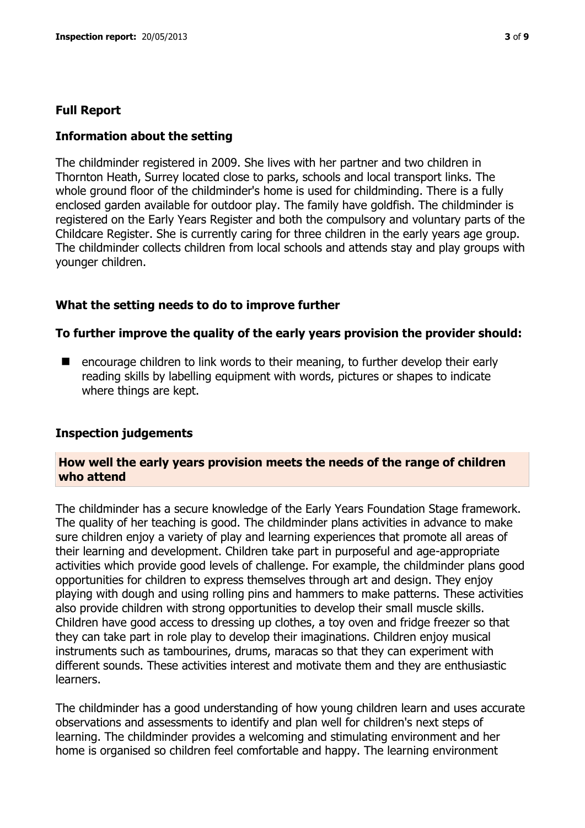#### **Full Report**

#### **Information about the setting**

The childminder registered in 2009. She lives with her partner and two children in Thornton Heath, Surrey located close to parks, schools and local transport links. The whole ground floor of the childminder's home is used for childminding. There is a fully enclosed garden available for outdoor play. The family have goldfish. The childminder is registered on the Early Years Register and both the compulsory and voluntary parts of the Childcare Register. She is currently caring for three children in the early years age group. The childminder collects children from local schools and attends stay and play groups with younger children.

#### **What the setting needs to do to improve further**

#### **To further improve the quality of the early years provision the provider should:**

 encourage children to link words to their meaning, to further develop their early reading skills by labelling equipment with words, pictures or shapes to indicate where things are kept.

#### **Inspection judgements**

#### **How well the early years provision meets the needs of the range of children who attend**

The childminder has a secure knowledge of the Early Years Foundation Stage framework. The quality of her teaching is good. The childminder plans activities in advance to make sure children enjoy a variety of play and learning experiences that promote all areas of their learning and development. Children take part in purposeful and age-appropriate activities which provide good levels of challenge. For example, the childminder plans good opportunities for children to express themselves through art and design. They enjoy playing with dough and using rolling pins and hammers to make patterns. These activities also provide children with strong opportunities to develop their small muscle skills. Children have good access to dressing up clothes, a toy oven and fridge freezer so that they can take part in role play to develop their imaginations. Children enjoy musical instruments such as tambourines, drums, maracas so that they can experiment with different sounds. These activities interest and motivate them and they are enthusiastic learners.

The childminder has a good understanding of how young children learn and uses accurate observations and assessments to identify and plan well for children's next steps of learning. The childminder provides a welcoming and stimulating environment and her home is organised so children feel comfortable and happy. The learning environment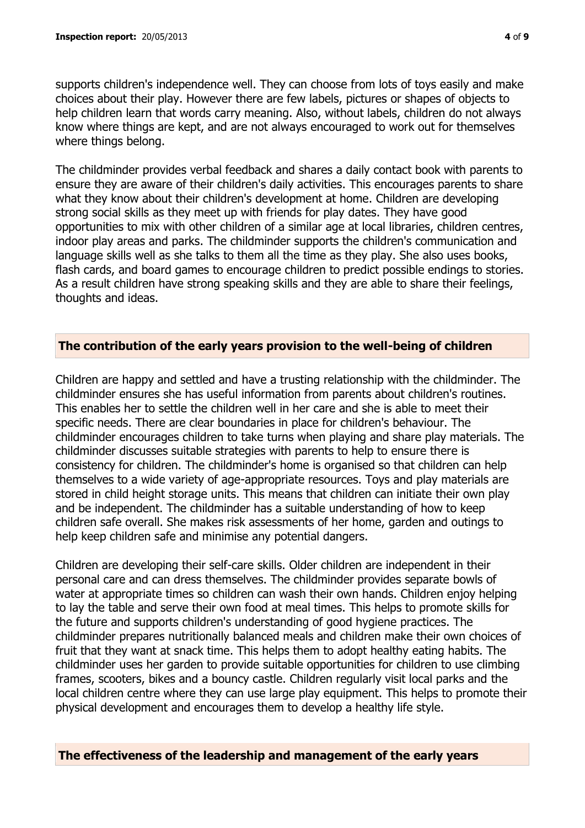supports children's independence well. They can choose from lots of toys easily and make choices about their play. However there are few labels, pictures or shapes of objects to help children learn that words carry meaning. Also, without labels, children do not always know where things are kept, and are not always encouraged to work out for themselves where things belong.

The childminder provides verbal feedback and shares a daily contact book with parents to ensure they are aware of their children's daily activities. This encourages parents to share what they know about their children's development at home. Children are developing strong social skills as they meet up with friends for play dates. They have good opportunities to mix with other children of a similar age at local libraries, children centres, indoor play areas and parks. The childminder supports the children's communication and language skills well as she talks to them all the time as they play. She also uses books, flash cards, and board games to encourage children to predict possible endings to stories. As a result children have strong speaking skills and they are able to share their feelings, thoughts and ideas.

### **The contribution of the early years provision to the well-being of children**

Children are happy and settled and have a trusting relationship with the childminder. The childminder ensures she has useful information from parents about children's routines. This enables her to settle the children well in her care and she is able to meet their specific needs. There are clear boundaries in place for children's behaviour. The childminder encourages children to take turns when playing and share play materials. The childminder discusses suitable strategies with parents to help to ensure there is consistency for children. The childminder's home is organised so that children can help themselves to a wide variety of age-appropriate resources. Toys and play materials are stored in child height storage units. This means that children can initiate their own play and be independent. The childminder has a suitable understanding of how to keep children safe overall. She makes risk assessments of her home, garden and outings to help keep children safe and minimise any potential dangers.

Children are developing their self-care skills. Older children are independent in their personal care and can dress themselves. The childminder provides separate bowls of water at appropriate times so children can wash their own hands. Children enjoy helping to lay the table and serve their own food at meal times. This helps to promote skills for the future and supports children's understanding of good hygiene practices. The childminder prepares nutritionally balanced meals and children make their own choices of fruit that they want at snack time. This helps them to adopt healthy eating habits. The childminder uses her garden to provide suitable opportunities for children to use climbing frames, scooters, bikes and a bouncy castle. Children regularly visit local parks and the local children centre where they can use large play equipment. This helps to promote their physical development and encourages them to develop a healthy life style.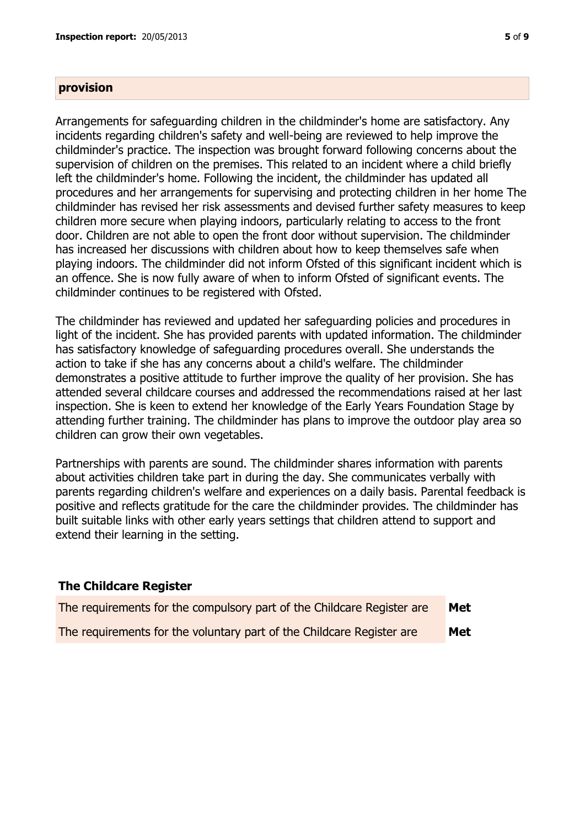#### **provision**

Arrangements for safeguarding children in the childminder's home are satisfactory. Any incidents regarding children's safety and well-being are reviewed to help improve the childminder's practice. The inspection was brought forward following concerns about the supervision of children on the premises. This related to an incident where a child briefly left the childminder's home. Following the incident, the childminder has updated all procedures and her arrangements for supervising and protecting children in her home The childminder has revised her risk assessments and devised further safety measures to keep children more secure when playing indoors, particularly relating to access to the front door. Children are not able to open the front door without supervision. The childminder has increased her discussions with children about how to keep themselves safe when playing indoors. The childminder did not inform Ofsted of this significant incident which is an offence. She is now fully aware of when to inform Ofsted of significant events. The childminder continues to be registered with Ofsted.

The childminder has reviewed and updated her safeguarding policies and procedures in light of the incident. She has provided parents with updated information. The childminder has satisfactory knowledge of safeguarding procedures overall. She understands the action to take if she has any concerns about a child's welfare. The childminder demonstrates a positive attitude to further improve the quality of her provision. She has attended several childcare courses and addressed the recommendations raised at her last inspection. She is keen to extend her knowledge of the Early Years Foundation Stage by attending further training. The childminder has plans to improve the outdoor play area so children can grow their own vegetables.

Partnerships with parents are sound. The childminder shares information with parents about activities children take part in during the day. She communicates verbally with parents regarding children's welfare and experiences on a daily basis. Parental feedback is positive and reflects gratitude for the care the childminder provides. The childminder has built suitable links with other early years settings that children attend to support and extend their learning in the setting.

#### **The Childcare Register**

| The requirements for the compulsory part of the Childcare Register are | Met |
|------------------------------------------------------------------------|-----|
| The requirements for the voluntary part of the Childcare Register are  | Met |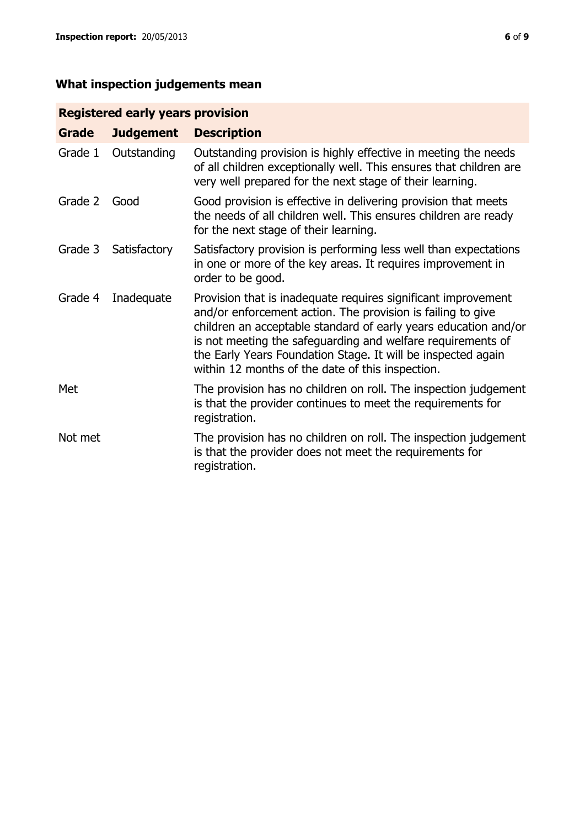# **What inspection judgements mean**

## **Registered early years provision**

| <b>Grade</b> | <b>Judgement</b> | <b>Description</b>                                                                                                                                                                                                                                                                                                                                                                 |
|--------------|------------------|------------------------------------------------------------------------------------------------------------------------------------------------------------------------------------------------------------------------------------------------------------------------------------------------------------------------------------------------------------------------------------|
| Grade 1      | Outstanding      | Outstanding provision is highly effective in meeting the needs<br>of all children exceptionally well. This ensures that children are<br>very well prepared for the next stage of their learning.                                                                                                                                                                                   |
| Grade 2      | Good             | Good provision is effective in delivering provision that meets<br>the needs of all children well. This ensures children are ready<br>for the next stage of their learning.                                                                                                                                                                                                         |
| Grade 3      | Satisfactory     | Satisfactory provision is performing less well than expectations<br>in one or more of the key areas. It requires improvement in<br>order to be good.                                                                                                                                                                                                                               |
| Grade 4      | Inadequate       | Provision that is inadequate requires significant improvement<br>and/or enforcement action. The provision is failing to give<br>children an acceptable standard of early years education and/or<br>is not meeting the safeguarding and welfare requirements of<br>the Early Years Foundation Stage. It will be inspected again<br>within 12 months of the date of this inspection. |
| Met          |                  | The provision has no children on roll. The inspection judgement<br>is that the provider continues to meet the requirements for<br>registration.                                                                                                                                                                                                                                    |
| Not met      |                  | The provision has no children on roll. The inspection judgement<br>is that the provider does not meet the requirements for<br>registration.                                                                                                                                                                                                                                        |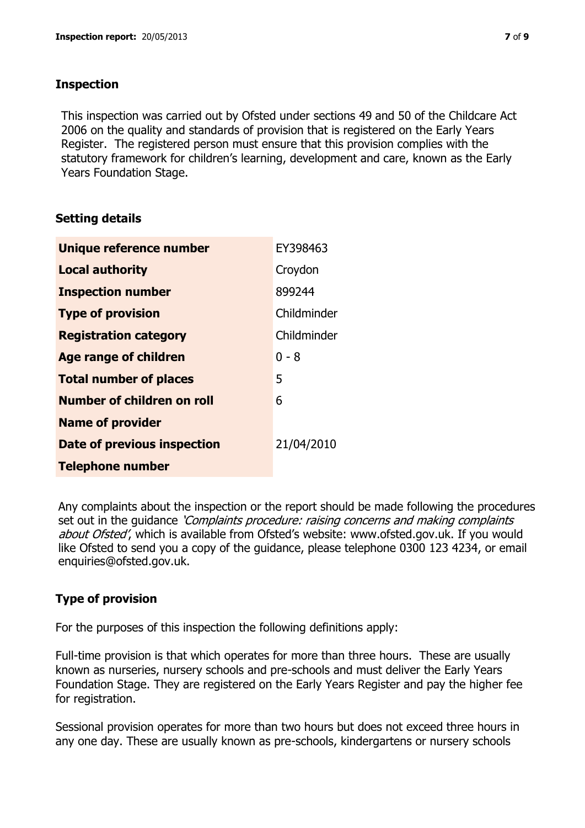## **Inspection**

This inspection was carried out by Ofsted under sections 49 and 50 of the Childcare Act 2006 on the quality and standards of provision that is registered on the Early Years Register. The registered person must ensure that this provision complies with the statutory framework for children's learning, development and care, known as the Early Years Foundation Stage.

## **Setting details**

| Unique reference number       | EY398463    |
|-------------------------------|-------------|
| <b>Local authority</b>        | Croydon     |
| <b>Inspection number</b>      | 899244      |
| <b>Type of provision</b>      | Childminder |
| <b>Registration category</b>  | Childminder |
| <b>Age range of children</b>  | $0 - 8$     |
| <b>Total number of places</b> | 5           |
| Number of children on roll    | 6           |
| <b>Name of provider</b>       |             |
| Date of previous inspection   | 21/04/2010  |
| <b>Telephone number</b>       |             |

Any complaints about the inspection or the report should be made following the procedures set out in the guidance *'Complaints procedure: raising concerns and making complaints* about Ofsted', which is available from Ofsted's website: www.ofsted.gov.uk. If you would like Ofsted to send you a copy of the guidance, please telephone 0300 123 4234, or email enquiries@ofsted.gov.uk.

## **Type of provision**

For the purposes of this inspection the following definitions apply:

Full-time provision is that which operates for more than three hours. These are usually known as nurseries, nursery schools and pre-schools and must deliver the Early Years Foundation Stage. They are registered on the Early Years Register and pay the higher fee for registration.

Sessional provision operates for more than two hours but does not exceed three hours in any one day. These are usually known as pre-schools, kindergartens or nursery schools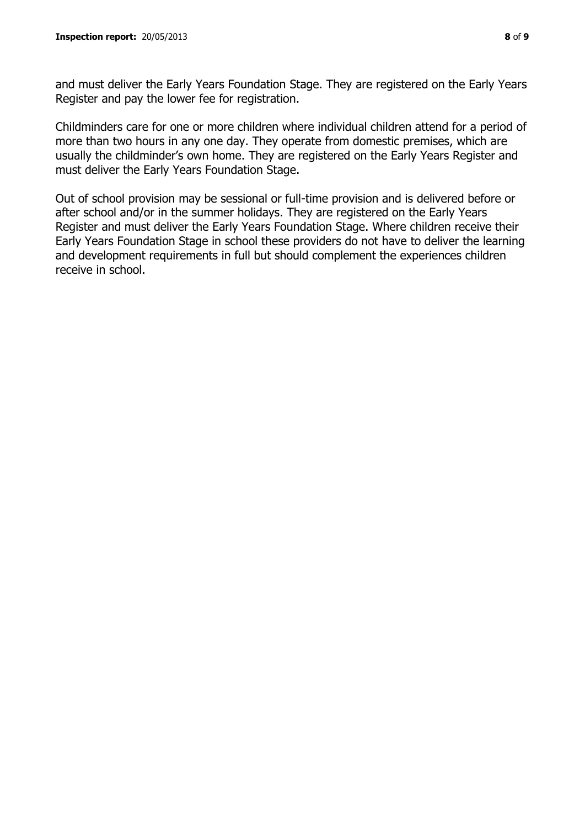and must deliver the Early Years Foundation Stage. They are registered on the Early Years Register and pay the lower fee for registration.

Childminders care for one or more children where individual children attend for a period of more than two hours in any one day. They operate from domestic premises, which are usually the childminder's own home. They are registered on the Early Years Register and must deliver the Early Years Foundation Stage.

Out of school provision may be sessional or full-time provision and is delivered before or after school and/or in the summer holidays. They are registered on the Early Years Register and must deliver the Early Years Foundation Stage. Where children receive their Early Years Foundation Stage in school these providers do not have to deliver the learning and development requirements in full but should complement the experiences children receive in school.